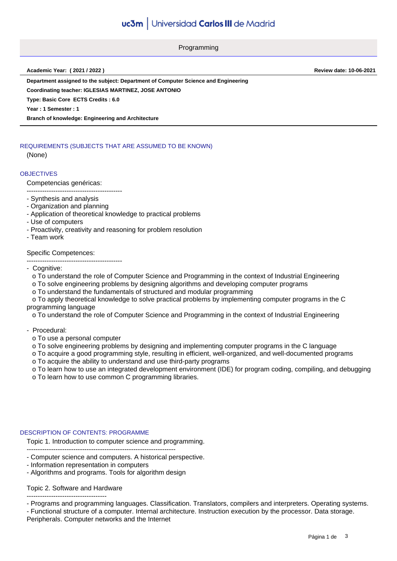Programming

**Academic Year: ( 2021 / 2022 ) Review date: 10-06-2021**

**Department assigned to the subject: Department of Computer Science and Engineering**

**Coordinating teacher: IGLESIAS MARTINEZ, JOSE ANTONIO**

**Type: Basic Core ECTS Credits : 6.0**

**Year : 1 Semester : 1**

**Branch of knowledge: Engineering and Architecture**

# REQUIREMENTS (SUBJECTS THAT ARE ASSUMED TO BE KNOWN)

(None)

# **OBJECTIVES**

#### Competencias genéricas:

-------------------------------------------

- Synthesis and analysis
- Organization and planning
- Application of theoretical knowledge to practical problems
- Use of computers
- Proactivity, creativity and reasoning for problem resolution
- Team work

### Specific Competences:

-------------------------------------------

- Cognitive:
- o To understand the role of Computer Science and Programming in the context of Industrial Engineering
- o To solve engineering problems by designing algorithms and developing computer programs
- o To understand the fundamentals of structured and modular programming

 o To apply theoretical knowledge to solve practical problems by implementing computer programs in the C programming language

o To understand the role of Computer Science and Programming in the context of Industrial Engineering

- Procedural:
	- o To use a personal computer

o To solve engineering problems by designing and implementing computer programs in the C language

o To acquire a good programming style, resulting in efficient, well-organized, and well-documented programs

o To acquire the ability to understand and use third-party programs

 o To learn how to use an integrated development environment (IDE) for program coding, compiling, and debugging o To learn how to use common C programming libraries.

### DESCRIPTION OF CONTENTS: PROGRAMME

Topic 1. Introduction to computer science and programming.

- Computer science and computers. A historical perspective.
- Information representation in computers
- Algorithms and programs. Tools for algorithm design

-------------------------------------------------------------------

### Topic 2. Software and Hardware

------------------------------------ - Programs and programming languages. Classification. Translators, compilers and interpreters. Operating systems.

- Functional structure of a computer. Internal architecture. Instruction execution by the processor. Data storage. Peripherals. Computer networks and the Internet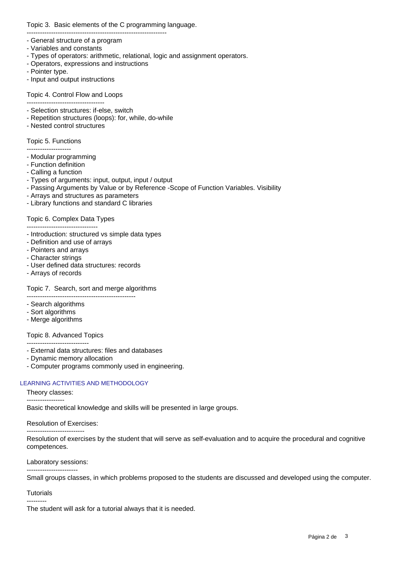Topic 3. Basic elements of the C programming language.

- General structure of a program
- Variables and constants
- Types of operators: arithmetic, relational, logic and assignment operators.
- Operators, expressions and instructions

---------------------------------------------------------------

- Pointer type.
- Input and output instructions

Topic 4. Control Flow and Loops

- -----------------------------------
- Selection structures: if-else, switch
- Repetition structures (loops): for, while, do-while - Nested control structures

# Topic 5. Functions

--------------------

- Modular programming
- Function definition
- Calling a function
- Types of arguments: input, output, input / output
- Passing Arguments by Value or by Reference -Scope of Function Variables. Visibility
- Arrays and structures as parameters
- Library functions and standard C libraries

# Topic 6. Complex Data Types

- -------------------------------- - Introduction: structured vs simple data types
- Definition and use of arrays
- Pointers and arrays
- Character strings
- User defined data structures: records
- Arrays of records

# Topic 7. Search, sort and merge algorithms

- -------------------------------------------------
- Search algorithms
- Sort algorithms
- Merge algorithms

### Topic 8. Advanced Topics

----------------------------

- External data structures: files and databases
- Dynamic memory allocation
- Computer programs commonly used in engineering.

### LEARNING ACTIVITIES AND METHODOLOGY

### Theory classes:

-----------------

Basic theoretical knowledge and skills will be presented in large groups.

### Resolution of Exercises:

-------------------------- Resolution of exercises by the student that will serve as self-evaluation and to acquire the procedural and cognitive competences.

### Laboratory sessions:

-----------------------

Small groups classes, in which problems proposed to the students are discussed and developed using the computer.

### **Tutorials**

--------- The student will ask for a tutorial always that it is needed.